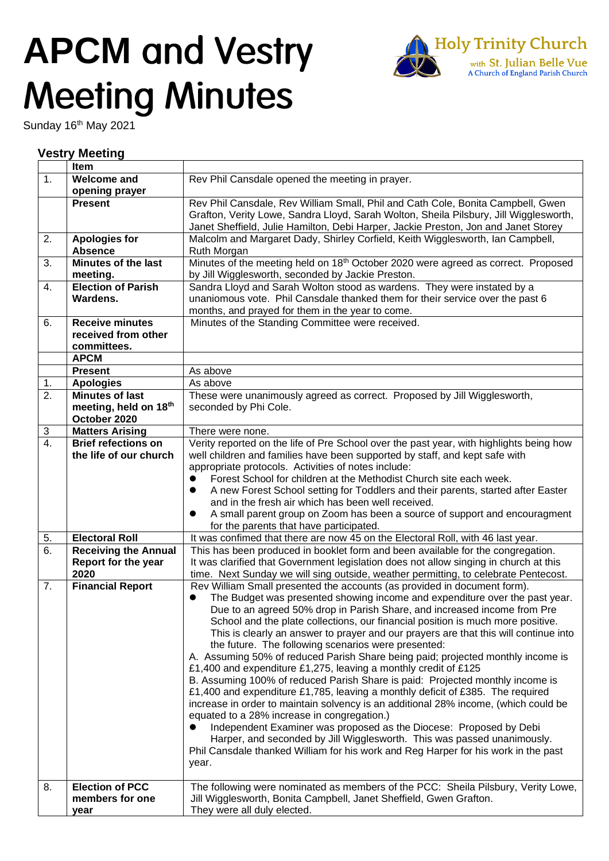## **APCM Meeting Minutes**



Sunday 16<sup>th</sup> May 2021

## **Vestry Meeting**

|    | Item                        |                                                                                                                                                         |
|----|-----------------------------|---------------------------------------------------------------------------------------------------------------------------------------------------------|
| 1. | <b>Welcome and</b>          | Rev Phil Cansdale opened the meeting in prayer.                                                                                                         |
|    | opening prayer              |                                                                                                                                                         |
|    | <b>Present</b>              | Rev Phil Cansdale, Rev William Small, Phil and Cath Cole, Bonita Campbell, Gwen                                                                         |
|    |                             | Grafton, Verity Lowe, Sandra Lloyd, Sarah Wolton, Sheila Pilsbury, Jill Wigglesworth,                                                                   |
|    |                             | Janet Sheffield, Julie Hamilton, Debi Harper, Jackie Preston, Jon and Janet Storey                                                                      |
| 2. | <b>Apologies for</b>        | Malcolm and Margaret Dady, Shirley Corfield, Keith Wigglesworth, Ian Campbell,                                                                          |
|    | <b>Absence</b>              | Ruth Morgan                                                                                                                                             |
| 3. | <b>Minutes of the last</b>  | Minutes of the meeting held on 18 <sup>th</sup> October 2020 were agreed as correct. Proposed                                                           |
|    | meeting.                    | by Jill Wigglesworth, seconded by Jackie Preston.                                                                                                       |
| 4. | <b>Election of Parish</b>   | Sandra Lloyd and Sarah Wolton stood as wardens. They were instated by a                                                                                 |
|    | Wardens.                    | unaniomous vote. Phil Cansdale thanked them for their service over the past 6                                                                           |
|    |                             | months, and prayed for them in the year to come.                                                                                                        |
| 6. | <b>Receive minutes</b>      | Minutes of the Standing Committee were received.                                                                                                        |
|    | received from other         |                                                                                                                                                         |
|    | committees.                 |                                                                                                                                                         |
|    | <b>APCM</b>                 |                                                                                                                                                         |
|    | <b>Present</b>              | As above                                                                                                                                                |
| 1. | <b>Apologies</b>            | As above                                                                                                                                                |
| 2. | <b>Minutes of last</b>      | These were unanimously agreed as correct. Proposed by Jill Wigglesworth,                                                                                |
|    | meeting, held on 18th       | seconded by Phi Cole.                                                                                                                                   |
|    | October 2020                |                                                                                                                                                         |
| 3  | <b>Matters Arising</b>      | There were none.                                                                                                                                        |
| 4. | <b>Brief refections on</b>  | Verity reported on the life of Pre School over the past year, with highlights being how                                                                 |
|    | the life of our church      | well children and families have been supported by staff, and kept safe with                                                                             |
|    |                             | appropriate protocols. Activities of notes include:                                                                                                     |
|    |                             | Forest School for children at the Methodist Church site each week.<br>0                                                                                 |
|    |                             | A new Forest School setting for Toddlers and their parents, started after Easter<br>0                                                                   |
|    |                             | and in the fresh air which has been well received.                                                                                                      |
|    |                             | A small parent group on Zoom has been a source of support and encouragment                                                                              |
|    |                             | for the parents that have participated.                                                                                                                 |
| 5. | <b>Electoral Roll</b>       | It was confimed that there are now 45 on the Electoral Roll, with 46 last year.                                                                         |
| 6. | <b>Receiving the Annual</b> | This has been produced in booklet form and been available for the congregation.                                                                         |
|    | Report for the year         | It was clarified that Government legislation does not allow singing in church at this                                                                   |
|    | 2020                        | time. Next Sunday we will sing outside, weather permitting, to celebrate Pentecost.                                                                     |
| 7. | <b>Financial Report</b>     | Rev William Small presented the accounts (as provided in document form).                                                                                |
|    |                             |                                                                                                                                                         |
|    |                             | The Budget was presented showing income and expenditure over the past year.<br>Due to an agreed 50% drop in Parish Share, and increased income from Pre |
|    |                             | School and the plate collections, our financial position is much more positive.                                                                         |
|    |                             | This is clearly an answer to prayer and our prayers are that this will continue into                                                                    |
|    |                             | the future. The following scenarios were presented:                                                                                                     |
|    |                             | A. Assuming 50% of reduced Parish Share being paid; projected monthly income is                                                                         |
|    |                             | £1,400 and expenditure £1,275, leaving a monthly credit of £125                                                                                         |
|    |                             | B. Assuming 100% of reduced Parish Share is paid: Projected monthly income is                                                                           |
|    |                             | £1,400 and expenditure £1,785, leaving a monthly deficit of £385. The required                                                                          |
|    |                             | increase in order to maintain solvency is an additional 28% income, (which could be                                                                     |
|    |                             | equated to a 28% increase in congregation.)                                                                                                             |
|    |                             |                                                                                                                                                         |
|    |                             | Independent Examiner was proposed as the Diocese: Proposed by Debi                                                                                      |
|    |                             | Harper, and seconded by Jill Wigglesworth. This was passed unanimously.                                                                                 |
|    |                             | Phil Cansdale thanked William for his work and Reg Harper for his work in the past                                                                      |
|    |                             | year.                                                                                                                                                   |
|    |                             |                                                                                                                                                         |
| 8. | <b>Election of PCC</b>      | The following were nominated as members of the PCC: Sheila Pilsbury, Verity Lowe,                                                                       |
|    | members for one             | Jill Wigglesworth, Bonita Campbell, Janet Sheffield, Gwen Grafton.                                                                                      |
|    | year                        | They were all duly elected.                                                                                                                             |